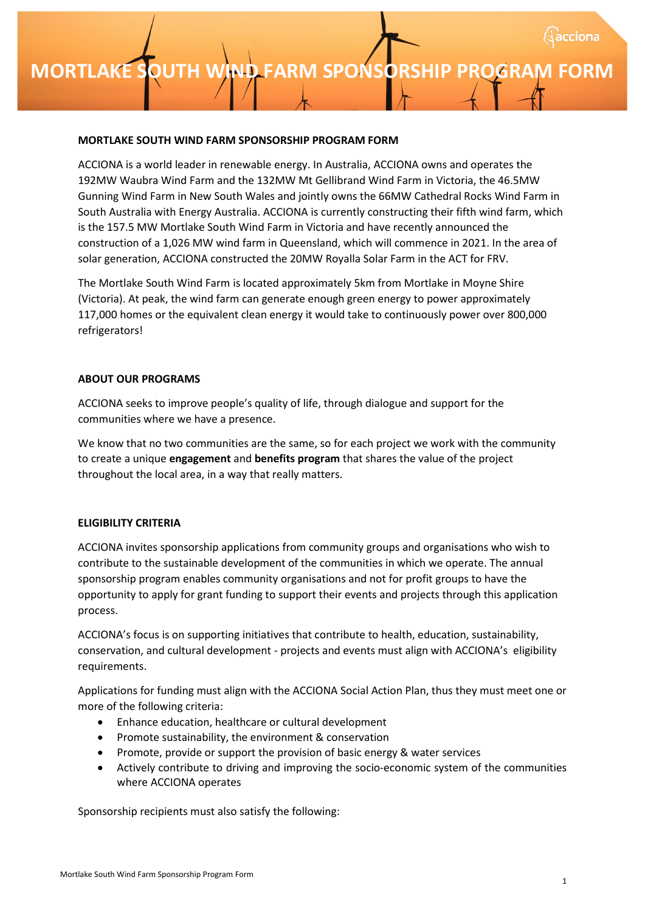## **MORTLAKE SOUTH WIND FARM SPONSORSHIP PROGRAM**

### **MORTLAKE SOUTH WIND FARM SPONSORSHIP PROGRAM FORM**

ACCIONA is a world leader in renewable energy. In Australia, ACCIONA owns and operates the 192MW Waubra Wind Farm and the 132MW Mt Gellibrand Wind Farm in Victoria, the 46.5MW Gunning Wind Farm in New South Wales and jointly owns the 66MW Cathedral Rocks Wind Farm in South Australia with Energy Australia. ACCIONA is currently constructing their fifth wind farm, which is the 157.5 MW Mortlake South Wind Farm in Victoria and have recently announced the construction of a 1,026 MW wind farm in Queensland, which will commence in 2021. In the area of solar generation, ACCIONA constructed the 20MW Royalla Solar Farm in the ACT for FRV.

The Mortlake South Wind Farm is located approximately 5km from Mortlake in Moyne Shire (Victoria). At peak, the wind farm can generate enough green energy to power approximately 117,000 homes or the equivalent clean energy it would take to continuously power over 800,000 refrigerators!

#### **ABOUT OUR PROGRAMS**

ACCIONA seeks to improve people's quality of life, through dialogue and support for the communities where we have a presence.

We know that no two communities are the same, so for each project we work with the community to create a unique **engagement** and **benefits program** that shares the value of the project throughout the local area, in a way that really matters.

## **ELIGIBILITY CRITERIA**

ACCIONA invites sponsorship applications from community groups and organisations who wish to contribute to the sustainable development of the communities in which we operate. The annual sponsorship program enables community organisations and not for profit groups to have the opportunity to apply for grant funding to support their events and projects through this application process.

ACCIONA's focus is on supporting initiatives that contribute to health, education, sustainability, conservation, and cultural development - projects and events must align with ACCIONA's eligibility requirements.

Applications for funding must align with the ACCIONA Social Action Plan, thus they must meet one or more of the following criteria:

- Enhance education, healthcare or cultural development
- Promote sustainability, the environment & conservation
- Promote, provide or support the provision of basic energy & water services
- Actively contribute to driving and improving the socio-economic system of the communities where ACCIONA operates

Sponsorship recipients must also satisfy the following: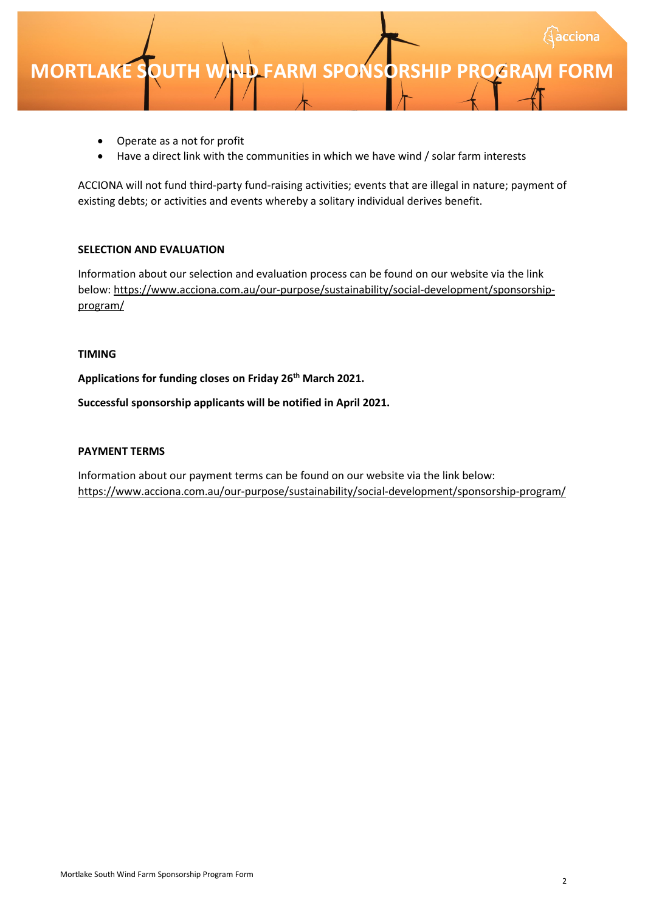

- Operate as a not for profit
- Have a direct link with the communities in which we have wind / solar farm interests

ACCIONA will not fund third-party fund-raising activities; events that are illegal in nature; payment of existing debts; or activities and events whereby a solitary individual derives benefit.

### **SELECTION AND EVALUATION**

Information about our selection and evaluation process can be found on our website via the link below: [https://www.acciona.com.au/our-purpose/sustainability/social-development/sponsorship](https://www.acciona.com.au/our-purpose/sustainability/social-development/sponsorship-program/)program/

#### **TIMING**

**Applications for funding closes on Friday 26th March 2021.**

**Successful sponsorship applicants will be notified in April 2021.**

#### **PAYMENT TERMS**

Information about our payment terms can be found on our website via the link below: <https://www.acciona.com.au/our-purpose/sustainability/social-development/sponsorship-program/>

cciona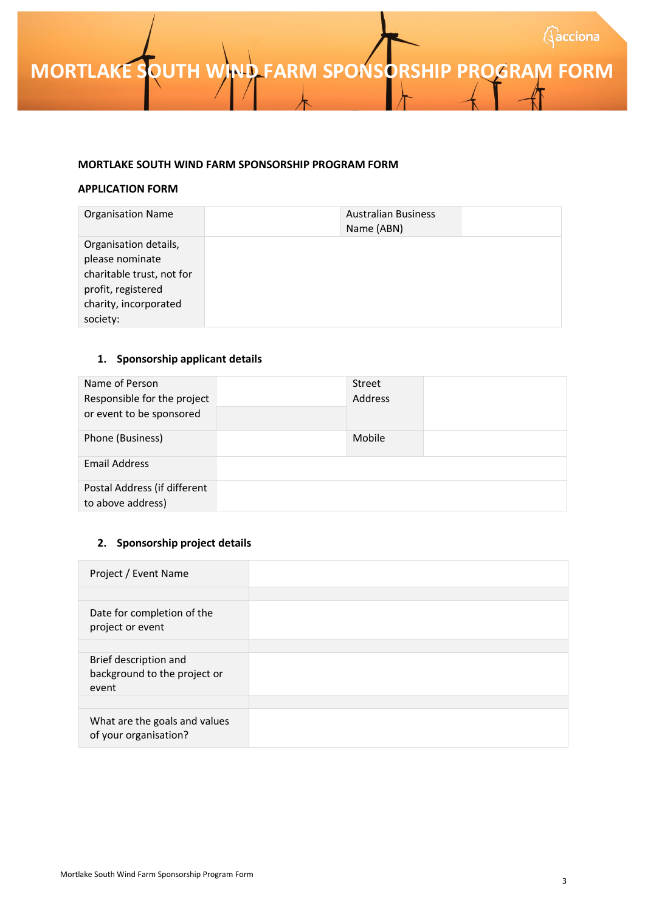#### **MORTLAKE SOUTH WIND FARM SPONSORSHIP PROGRAM FORM**

#### **APPLICATION FORM**

| <b>Organisation Name</b>  | <b>Australian Business</b><br>Name (ABN) |  |
|---------------------------|------------------------------------------|--|
| Organisation details,     |                                          |  |
| please nominate           |                                          |  |
| charitable trust, not for |                                          |  |
| profit, registered        |                                          |  |
| charity, incorporated     |                                          |  |
| society:                  |                                          |  |

## **1. Sponsorship applicant details**

| Name of Person<br>Responsible for the project<br>or event to be sponsored | Street<br>Address |  |
|---------------------------------------------------------------------------|-------------------|--|
| Phone (Business)                                                          | Mobile            |  |
| <b>Email Address</b>                                                      |                   |  |
| Postal Address (if different<br>to above address)                         |                   |  |

## **2. Sponsorship project details**

| Project / Event Name                                           |  |
|----------------------------------------------------------------|--|
|                                                                |  |
| Date for completion of the<br>project or event                 |  |
|                                                                |  |
| Brief description and<br>background to the project or<br>event |  |
|                                                                |  |
| What are the goals and values<br>of your organisation?         |  |

 $\big\{$ acciona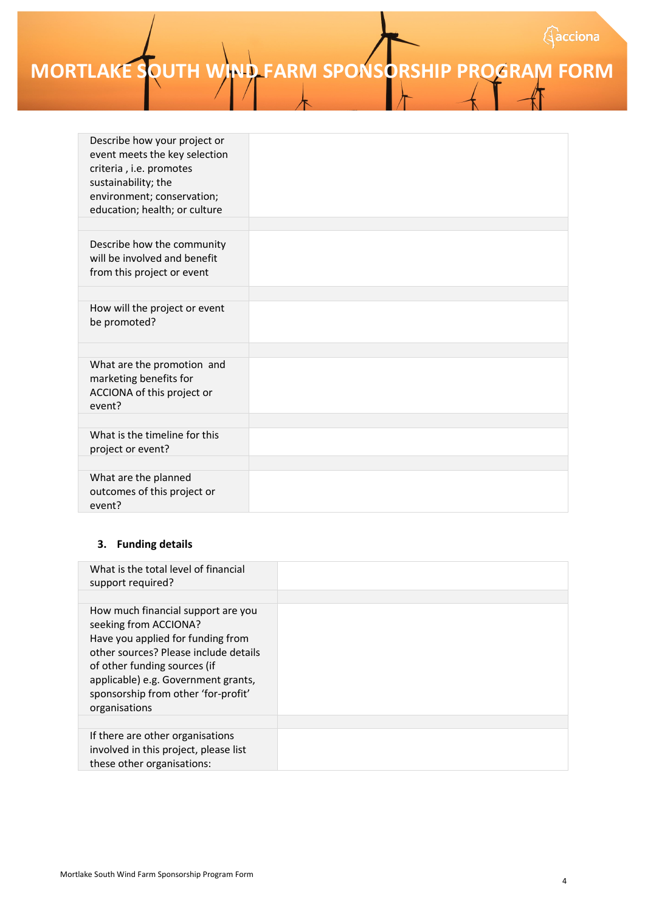# **MORTLAKE SOUTH WIND FARM SPONSORSHIP PROGRAM FORM**

| Describe how your project or<br>event meets the key selection<br>criteria, i.e. promotes<br>sustainability; the<br>environment; conservation;<br>education; health; or culture |  |
|--------------------------------------------------------------------------------------------------------------------------------------------------------------------------------|--|
|                                                                                                                                                                                |  |
| Describe how the community<br>will be involved and benefit<br>from this project or event                                                                                       |  |
|                                                                                                                                                                                |  |
| How will the project or event<br>be promoted?                                                                                                                                  |  |
|                                                                                                                                                                                |  |
| What are the promotion and<br>marketing benefits for<br>ACCIONA of this project or<br>event?                                                                                   |  |
|                                                                                                                                                                                |  |
| What is the timeline for this<br>project or event?                                                                                                                             |  |
|                                                                                                                                                                                |  |
| What are the planned<br>outcomes of this project or<br>event?                                                                                                                  |  |

## **3. Funding details**

| What is the total level of financial<br>support required?                                                                                                                                                                                                                |  |
|--------------------------------------------------------------------------------------------------------------------------------------------------------------------------------------------------------------------------------------------------------------------------|--|
| How much financial support are you<br>seeking from ACCIONA?<br>Have you applied for funding from<br>other sources? Please include details<br>of other funding sources (if<br>applicable) e.g. Government grants,<br>sponsorship from other 'for-profit'<br>organisations |  |
|                                                                                                                                                                                                                                                                          |  |
| If there are other organisations<br>involved in this project, please list<br>these other organisations:                                                                                                                                                                  |  |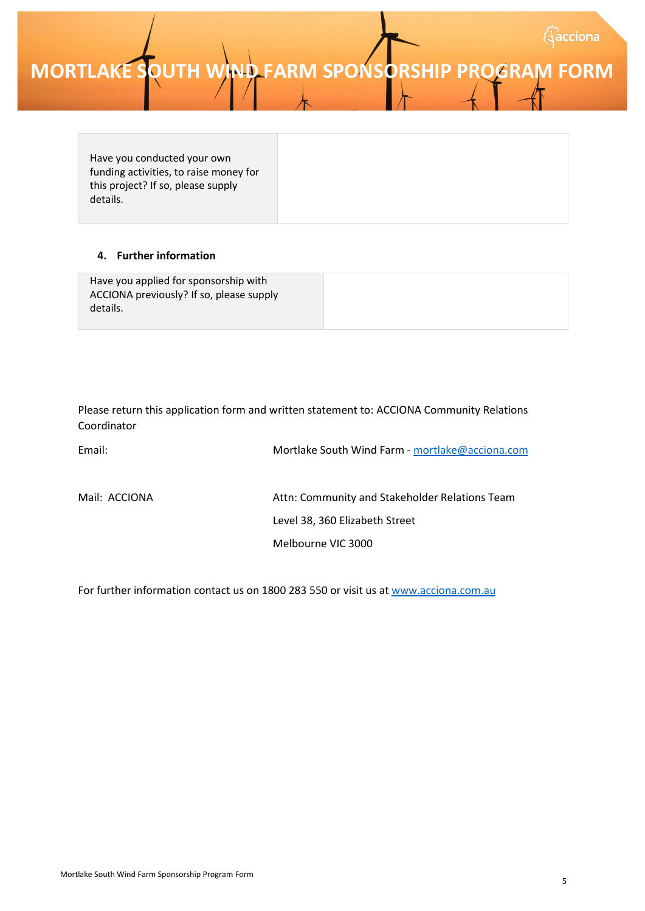# **MORTLAKE SOUTH WIND FARM SPONSORSHIP PROGRAM FORM**

Have you conducted your own funding activities, to raise money for this project? If so, please supply details.

## **4. Further information**

| Have you applied for sponsorship with<br>ACCIONA previously? If so, please supply |  |
|-----------------------------------------------------------------------------------|--|
| details.                                                                          |  |

Please return this application form and written statement to: ACCIONA Community Relations Coordinator

| Email:        | Mortlake South Wind Farm - mortlake@acciona.com |
|---------------|-------------------------------------------------|
| Mail: ACCIONA | Attn: Community and Stakeholder Relations Team  |
|               | Level 38, 360 Elizabeth Street                  |
|               | Melbourne VIC 3000                              |

For further information contact us on 1800 283 550 or visit us a[t www.acciona.com.au](http://www.acciona.com.au/)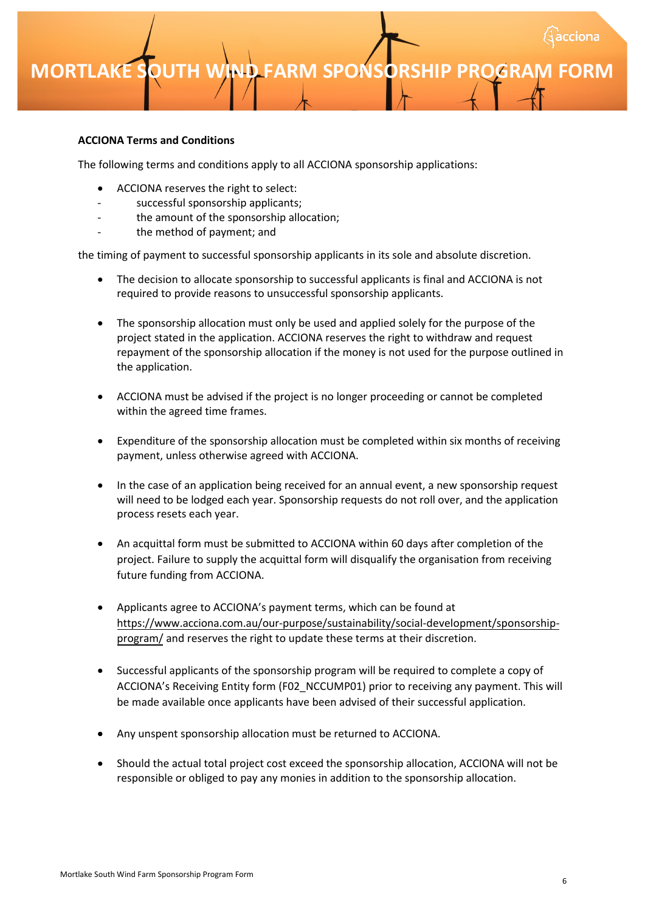## **MORTLAKE SOUTH WIND FARM SPONSORSHIP PROGRAM**

### **ACCIONA Terms and Conditions**

The following terms and conditions apply to all ACCIONA sponsorship applications:

- ACCIONA reserves the right to select:
- successful sponsorship applicants;
- the amount of the sponsorship allocation;
- the method of payment; and

the timing of payment to successful sponsorship applicants in its sole and absolute discretion.

- The decision to allocate sponsorship to successful applicants is final and ACCIONA is not required to provide reasons to unsuccessful sponsorship applicants.
- The sponsorship allocation must only be used and applied solely for the purpose of the project stated in the application. ACCIONA reserves the right to withdraw and request repayment of the sponsorship allocation if the money is not used for the purpose outlined in the application.
- ACCIONA must be advised if the project is no longer proceeding or cannot be completed within the agreed time frames.
- Expenditure of the sponsorship allocation must be completed within six months of receiving payment, unless otherwise agreed with ACCIONA.
- In the case of an application being received for an annual event, a new sponsorship request will need to be lodged each year. Sponsorship requests do not roll over, and the application process resets each year.
- An acquittal form must be submitted to ACCIONA within 60 days after completion of the project. Failure to supply the acquittal form will disqualify the organisation from receiving future funding from ACCIONA.
- Applicants agree to ACCIONA's payment terms, which can be found at [https://www.acciona.com.au/our-purpose/sustainability/social-development/sponsorship](https://www.acciona.com.au/our-purpose/sustainability/social-development/sponsorship-program/)program/ and reserves the right to update these terms at their discretion.
- Successful applicants of the sponsorship program will be required to complete a copy of ACCIONA's Receiving Entity form (F02\_NCCUMP01) prior to receiving any payment. This will be made available once applicants have been advised of their successful application.
- Any unspent sponsorship allocation must be returned to ACCIONA.
- Should the actual total project cost exceed the sponsorship allocation, ACCIONA will not be responsible or obliged to pay any monies in addition to the sponsorship allocation.